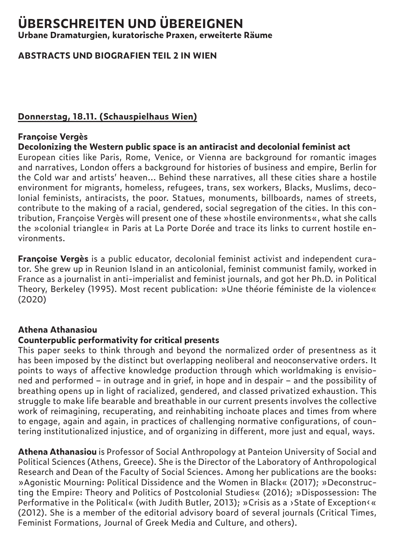# **ÜBERSCHREITEN UND ÜBEREIGNEN**

**Urbane Dramaturgien, kuratorische Praxen, erweiterte Räume**

#### **ABSTRACTS UND BIOGRAFIEN TEIL 2 IN WIEN**

#### **Donnerstag, 18.11. (Schauspielhaus Wien)**

#### **Françoise Vergès**

**Decolonizing the Western public space is an antiracist and decolonial feminist act**

European cities like Paris, Rome, Venice, or Vienna are background for romantic images and narratives, London offers a background for histories of business and empire, Berlin for the Cold war and artists' heaven… Behind these narratives, all these cities share a hostile environment for migrants, homeless, refugees, trans, sex workers, Blacks, Muslims, decolonial feminists, antiracists, the poor. Statues, monuments, billboards, names of streets, contribute to the making of a racial, gendered, social segregation of the cities. In this contribution, Françoise Vergès will present one of these »hostile environments«, what she calls the »colonial triangle« in Paris at La Porte Dorée and trace its links to current hostile environments.

**Françoise Vergès** is a public educator, decolonial feminist activist and independent curator. She grew up in Reunion Island in an anticolonial, feminist communist family, worked in France as a journalist in anti-imperialist and feminist journals, and got her Ph.D. in Political Theory, Berkeley (1995). Most recent publication: »Une théorie féministe de la violence« (2020)

#### **Athena Athanasiou**

#### **Counterpublic performativity for critical presents**

This paper seeks to think through and beyond the normalized order of presentness as it has been imposed by the distinct but overlapping neoliberal and neoconservative orders. It points to ways of affective knowledge production through which worldmaking is envisioned and performed – in outrage and in grief, in hope and in despair – and the possibility of breathing opens up in light of racialized, gendered, and classed privatized exhaustion. This struggle to make life bearable and breathable in our current presents involves the collective work of reimagining, recuperating, and reinhabiting inchoate places and times from where to engage, again and again, in practices of challenging normative configurations, of countering institutionalized injustice, and of organizing in different, more just and equal, ways.

**Athena Athanasiou** is Professor of Social Anthropology at Panteion University of Social and Political Sciences (Athens, Greece). She is the Director of the Laboratory of Anthropological Research and Dean of the Faculty of Social Sciences. Among her publications are the books: »Agonistic Mourning: Political Dissidence and the Women in Black« (2017); »Deconstructing the Empire: Theory and Politics of Postcolonial Studies« (2016); »Dispossession: The Performative in the Political« (with Judith Butler, 2013); »Crisis as a >State of Exception(« (2012). She is a member of the editorial advisory board of several journals (Critical Times, Feminist Formations, Journal of Greek Media and Culture, and others).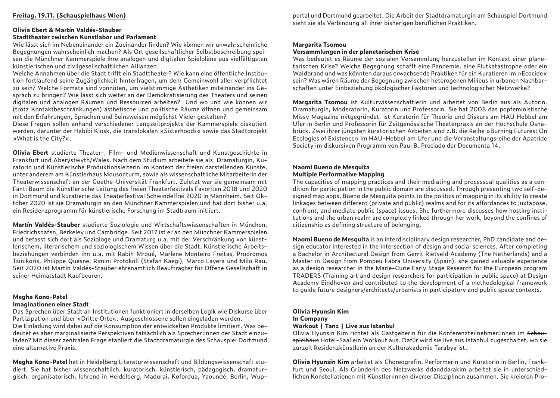## **Olivia Ebert & Martín Valdés-Stauber**

#### **Stadttheater zwischen Kunstlabor und Parlament**

Wie lässt sich im Nebeneinander ein Zueinander finden? Wie können wir unwahrscheinliche Begegnungen wahrscheinlich machen? Als Ort gesellschaftlicher Selbstbeschreibung speisen die Münchner Kammerspiele ihre analogen und digitalen Spielpläne aus vielfältigsten künstlerischen und zivilgesellschaftlichen Allianzen.

Welche Annahmen über die Stadt trifft ein Stadttheater? Wie kann eine öffentliche Institution fortlaufend seine Zugänglichkeit hinterfragen, um dem Gemeinwohl aller verpflichtet zu sein? Welche Formate sind vonnöten, um vielstimmige Ästhetiken miteinander ins Gespräch zu bringen? Wie lässt sich weiter an der Demokratisierung des Theaters und seinen digitalen und analogen Räumen und Ressourcen arbeiten? Und wo und wie können wir (trotz Kontaktbeschränkungen) ästhetische und politische Räume öffnen und gemeinsam mit den Erfahrungen, Sprachen und Seinsweisen möglichst Vieler gestalten?

Diese Fragen sollen anhand verschiedener Langzeitprojekte der Kammerspiele diskutiert werden, darunter der Habibi Kiosk, die translokalen »Sisterhoods« sowie das Stadtprojekt »What is the City?«.

**Olivia Ebert** studierte Theater-, Film- und Medienwissenschaft und Kunstgeschichte in Frankfurt und Aberystwyth/Wales. Nach dem Studium arbeitete sie als Dramaturgin, Kuratorin und Künstlerische Produktionsleiterin im Kontext der freien darstellenden Künste, unter anderem am Künstlerhaus Mousonturm, sowie als wissenschaftliche Mitarbeiterin der Theaterwissenschaft an der Goethe-Universität Frankfurt. Zuletzt war sie gemeinsam mit Fanti Baum die Künstlerische Leitung des freien Theaterfestivals Favoriten 2018 und 2020 in Dortmund und kuratierte das Theaterfestival Schwindelfrei 2020 in Mannheim. Seit Oktober 2020 ist sie Dramaturgin an den Münchner Kammerspielen und hat dort bisher u.a. ein Residenzprogramm für künstlerische Forschung im Stadtraum initiiert.

**Martín Valdés-Stauber** studierte Soziologie und Wirtschaftswissenschaften in München, Friedrichshafen, Berkeley und Cambridge. Seit 2017 ist er an den Münchner Kammerspielen und befasst sich dort als Soziologe und Dramaturg u.a. mit der Verschränkung von künstlerischem, literarischem und soziologischem Wissen über die Stadt. Künstlerische Arbeitsbeziehungen verbinden ihn u.a. mit Rabih Mroué, Marlene Monteiro Freitas, Prodromos Tsinikoris, Philippe Quesne, Rimini Protokoll (Stefan Kaegi), Marco Layera und Milo Rau. Seit 2020 ist Martín Valdés-Stauber ehrenamtlich Beauftragter für Offene Gesellschaft in seiner Heimatstadt Kaufbeuren.

#### **Megha Kono-Patel Imaginationen einer Stadt**

Das Sprechen über Stadt an Institutionen funktioniert in derselben Logik wie Diskurse über Partizipation und über »Dritte Orte«. Ausgeschlossene sollen eingeladen werden. Die Einladung wird dabei auf die Konsumption der entwickelten Produkte limitiert. Was bedeutet es aber marginalisierte Perspektiven tatsächlich als Sprecher:innen der Stadt einzuladen? Mit dieser zentralen Frage etabliert die Stadtdramaturgie des Schauspiel Dortmund eine alternative Praxis.

**Megha Kono-Patel** hat in Heidelberg Literaturwissenschaft und Bildungswissenschaft studiert. Sie hat bisher wissenschaftlich, kuratorisch, künstlerisch, pädagogisch, dramaturgisch, organisatorisch, lehrend in Heidelberg, Madurai, Kofordua, Yaoundé, Berlin, Wup-

pertal und Dortmund gearbeitet. Die Arbeit der Stadtdramaturgin am Schauspiel Dortmund sieht sie als Verbindung all ihrer bisherigen beruflichen Praktiken.

#### **Margarita Tsomou**

#### **Versammlungen in der planetarischen Krise**

Was bedeutet es Räume der sozialen Versammlung herzustellen im Kontext einer planetarischen Krise? Welche Begegnung schafft eine Pandemie, eine Flutkatastrophe oder ein Waldbrand und was könnten daraus erwachsende Praktiken für ein Kuratieren im »Ecocide« sein? Was wären Räume der Begegnung zwischen heterogenen Milieus in urbanen Nachbarschaften unter Einbeziehung ökologischer Faktoren und technologischer Netzwerke?

**Margarita Tsomou** ist Kulturwissenschaftlerin und arbeitet von Berlin aus als Autorin, Dramaturgin, Moderatorin, Kuratorin und Professorin. Sie hat 2008 das popfeministische Missy Magazine mitgegründet, ist Kuratorin für Theorie und Diskurs am HAU Hebbel am Ufer in Berlin und Professorin für Zeitgenössische Theaterpraxis an der Hochschule Osnabrück. Zwei ihrer jüngsten kuratorischen Arbeiten sind z.B. die Reihe »Burning Futures: On Ecologies of Existence« im HAU-Hebbel am Ufer und die Veranstaltungsreihe der Apatride Society im diskursiven Programm von Paul B. Preciado der Documenta 14.

#### **Naomi Bueno de Mesquita Multiple Performative Mapping**

The capacities of mapping practices and their mediating and processual qualities as a condition for participation in the public domain are discussed. Through presenting two self-designed map apps, Bueno de Mesquita points to the politics of mapping in its ability to create linkages between different (private and public) realms and for its affordances to juxtapose, confront, and mediate public (space) issues. She furthermore discusses how hosting institutions and the urban realm are complexly linked through her work, beyond the confines of citizenship as defining structure of belonging.

**Naomi Bueno de Mesquita** is an interdisciplinary design researcher, PhD candidate and design educator interested in the intersection of design and social sciences. After completing a Bachelor in Architectural Design from Gerrit Rietveld Academy (The Netherlands) and a Master in Design from Pompeu Fabra University (Spain), she gained valuable experience as a design researcher in the Marie-Curie Early Stage Research for the European program TRADERS (Training art and design researchers for participation in public space) at Design Academy Eindhoven and contributed to the development of a methodological framework to guide future designers/architects/urbanists in participatory and public space contexts.

### **Olivia Hyunsin Kim In Company**

#### **Workout | Tanz | Live aus Istanbul**

Olivia Hyunsin Kim richtet als Gastgeberin für die Konferenzteilnehmer: innen im Schauspielhaus Hotel-Saal ein Workout aus. Dafür wird sie live aus Istanbul zugeschaltet, wo sie zurzeit Residenzkünstlerin an der Kulturakademie Tarabya ist.

**Olivia Hyunsin Kim** arbeitet als Choreografin, Performerin und Kuratorin in Berlin, Frankfurt und Seoul. Als Gründerin des Netzwerks ddanddarakim arbeitet sie in unterschiedlichen Konstellationen mit Künstler:innen diverser Disziplinen zusammen. Sie kreieren Pro-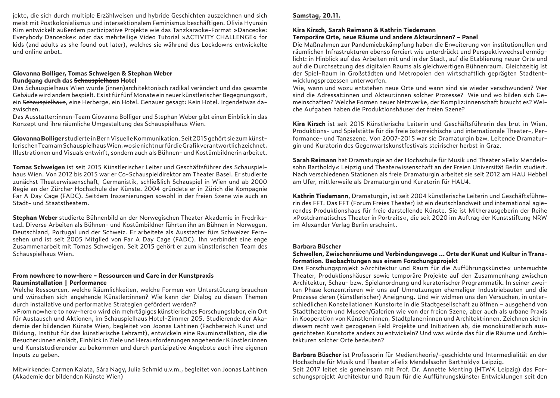jekte, die sich durch multiple Erzählweisen und hybride Geschichten auszeichnen und sich meist mit Postkolonialismus und intersektionalem Feminismus beschäftigen. Olivia Hyunsin Kim entwickelt außerdem partizipative Projekte wie das Tanzkaraoke-Format »Danceoke: Everybody Danceoke« oder das mehrteilige Video Tutorial »ACTIVITY CHALLENGE« for kids (and adults as she found out later), welches sie während des Lockdowns entwickelte und online anbot.

#### **Giovanna Bolliger, Tomas Schweigen & Stephan Weber Rundgang durch das Schauspielhaus Hotel**

Das Schauspielhaus Wien wurde (innen)architektonisch radikal verändert und das gesamte Gebäude wird anders bespielt. Es ist für fünf Monate ein neuer künstlerischer Begegnungsort, ein Schauspielhaus, eine Herberge, ein Hotel. Genauer gesagt: Kein Hotel. Irgendetwas dazwischen.

Das Ausstatter:innen-Team Giovanna Bolliger und Stephan Weber gibt einen Einblick in das Konzept und ihre räumliche Umgestaltung des Schauspielhaus Wien.

**Giovanna Bolliger** studierte in Bern Visuelle Kommunikation. Seit 2015 gehört sie zum künstlerischen Team am Schauspielhaus Wien, wo sie nicht nur für die Grafik verantwortlich zeichnet, Illustrationen und Visuals entwirft, sondern auch als Bühnen- und Kostümbildnerin arbeitet.

**Tomas Schweigen** ist seit 2015 Künstlerischer Leiter und Geschäftsführer des Schauspielhaus Wien. Von 2012 bis 2015 war er Co-Schauspieldirektor am Theater Basel. Er studierte zunächst Theaterwissenschaft, Germanistik, schließlich Schauspiel in Wien und ab 2000 Regie an der Zürcher Hochschule der Künste. 2004 gründete er in Zürich die Kompagnie Far A Day Cage (FADC). Seitdem Inszenierungen sowohl in der freien Szene wie auch an Stadt- und Staatstheatern.

**Stephan Weber** studierte Bühnenbild an der Norwegischen Theater Akademie in Fredrikstad. Diverse Arbeiten als Bühnen- und Kostümbildner führten ihn an Bühnen in Norwegen, Deutschland, Portugal und der Schweiz. Er arbeitete als Ausstatter fürs Schweizer Fernsehen und ist seit 2005 Mitglied von Far A Day Cage (FADC). Ihn verbindet eine enge Zusammenarbeit mit Tomas Schweigen. Seit 2015 gehört er zum künstlerischen Team des Schauspielhaus Wien.

#### **From nowhere to now-here – Ressourcen und Care in der Kunstpraxis Rauminstallation | Performance**

Welche Ressourcen, welche Räumlichkeiten, welche Formen von Unterstützung brauchen und wünschen sich angehende Künstler:innen? Wie kann der Dialog zu diesen Themen durch installative und performative Strategien gefördert werden?

»From nowhere to now-here« wird ein mehrtägiges künstlerisches Forschungslabor, ein Ort für Austausch und Aktionen, im Schauspielhaus Hotel-Zimmer 205. Studierende der Akademie der bildenden Künste Wien, begleitet von Joonas Lahtinen (Fachbereich Kunst und Bildung, Institut für das künstlerische Lehramt), entwickeln eine Rauminstallation, die die Besucher:innen einlädt, Einblick in Ziele und Herausforderungen angehender Künstler:innen und Kunststudierender zu bekommen und durch partizipative Angebote auch ihre eigenen Inputs zu geben.

Mitwirkende: Carmen Kalata, Sára Nagy, Julia Schmid u.v.m., begleitet von Joonas Lahtinen (Akademie der bildenden Künste Wien)

#### **Samstag, 20.11.**

# **Kira Kirsch, Sarah Reimann & Kathrin Tiedemann**

**Temporäre Orte, neue Räume und andere Akteur:innen? – Panel**  Die Maßnahmen zur Pandemiebekämpfung haben die Erweiterung von institutionellen und räumlichen Infrastrukturen ebenso forciert wie unterdrückt und Perspektivwechsel ermöglicht: in Hinblick auf das Arbeiten mit und in der Stadt, auf die Etablierung neuer Orte und auf die Durchsetzung des digitalen Raums als gleichwertigen Bühnenraum. Gleichzeitig ist der Spiel-Raum in Großstädten und Metropolen den wirtschaftlich geprägten Stadtent-

wicklungsprozessen unterworfen. Wie, wann und wozu entstehen neue Orte und wann sind sie wieder verschwunden? Wer sind die Adressat:innen und Akteur:innen solcher Prozesse? Wie und wo bilden sich Gemeinschaften? Welche Formen neuer Netzwerke, der Kompliz:innenschaft braucht es? Welche Aufgaben haben die Produktionshäuser der freien Szene?

**Kira Kirsch** ist seit 2015 Künstlerische Leiterin und Geschäftsführerin des brut in Wien, Produktions- und Spielstätte für die freie österreichische und internationale Theater-, Performance- und Tanzszene. Von 2007-2015 war sie Dramaturgin bzw. Leitende Dramaturgin und Kuratorin des Gegenwartskunstfestivals steirischer herbst in Graz.

**Sarah Reimann** hat Dramaturgie an der Hochschule für Musik und Theater »Felix Mendelssohn Bartholdy« Leipzig und Theaterwissenschaft an der Freien Universität Berlin studiert. Nach verschiedenen Stationen als freie Dramaturgin arbeitet sie seit 2012 am HAU Hebbel am Ufer, mittlerweile als Dramaturgin und Kuratorin für HAU4.

**Kathrin Tiedemann**, Dramaturgin, ist seit 2004 künstlerische Leiterin und Geschäftsführerin des FFT. Das FFT (Forum Freies Theater) ist ein deutschlandweit und international agierendes Produktionshaus für freie darstellende Künste. Sie ist Mitherausgeberin der Reihe »Postdramatisches Theater in Portraits«, die seit 2020 im Auftrag der Kunststiftung NRW im Alexander Verlag Berlin erscheint.

#### **Barbara Büscher**

#### **Schwellen, Zwischenräume und Verbindungswege ... Orte der Kunst und Kultur in Transformation. Beobachtungen aus einem Forschungsprojekt**

Das Forschungsprojekt »Architektur und Raum für die Aufführungskünste« untersuchte Theater, Produktionshäuser sowie temporäre Projekte auf den Zusammenhang zwischen Architektur, Schau- bzw. Spielanordnung und kuratorischer Programmatik. In seiner zweiten Phase konzentrieren wir uns auf Umnutzungen ehemaliger Industriebauten und die Prozesse deren (künstlerischer) Aneignung. Und wir widmen uns den Versuchen, in unterschiedlichen Konstellationen Kunstorte in die Stadtgesellschaft zu öffnen – ausgehend von Stadttheatern und Museen/Galerien wie von der freien Szene, aber auch als urbane Praxis in Kooperation von Künstler:innen, Stadtplaner:innen und Architekt:innen. Zeichnen sich in diesem recht weit gezogenen Feld Projekte und Initiativen ab, die monokünstlerisch ausgerichteten Kunstorte anders zu entwickeln? Und was würde das für die Räume und Architekturen solcher Orte bedeuten?

**Barbara Büscher** ist Professorin für Medientheorie/-geschichte und Intermedialität an der Hochschule für Musik und Theater »Felix Mendelssohn Bartholdy« Leipzig.

Seit 2017 leitet sie gemeinsam mit Prof. Dr. Annette Menting (HTWK Leipzig) das Forschungsprojekt Architektur und Raum für die Aufführungskünste: Entwicklungen seit den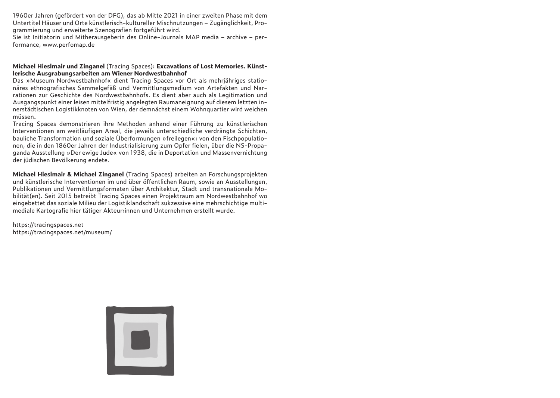1960er Jahren (gefördert von der DFG), das ab Mitte 2021 in einer zweiten Phase mit dem Untertitel Häuser und Orte künstlerisch-kultureller Mischnutzungen – Zugänglichkeit, Programmierung und erweiterte Szenografien fortgeführt wird.

Sie ist Initiatorin und Mitherausgeberin des Online-Journals MAP media – archive – performance, www.perfomap.de

#### **Michael Hieslmair und Zinganel** (Tracing Spaces): **Excavations of Lost Memories. Künstlerische Ausgrabungsarbeiten am Wiener Nordwestbahnhof**

Das »Museum Nordwestbahnhof« dient Tracing Spaces vor Ort als mehrjähriges stationäres ethnografisches Sammelgefäß und Vermittlungsmedium von Artefakten und Narrationen zur Geschichte des Nordwestbahnhofs. Es dient aber auch als Legitimation und Ausgangspunkt einer leisen mittelfristig angelegten Raumaneignung auf diesem letzten innerstädtischen Logistikknoten von Wien, der demnächst einem Wohnquartier wird weichen müssen.

Tracing Spaces demonstrieren ihre Methoden anhand einer Führung zu künstlerischen Interventionen am weitläufigen Areal, die jeweils unterschiedliche verdrängte Schichten, bauliche Transformation und soziale Überformungen »freilegen«: von den Fischpopulationen, die in den 1860er Jahren der Industrialisierung zum Opfer fielen, über die NS-Propaganda Ausstellung »Der ewige Jude« von 1938, die in Deportation und Massenvernichtung der jüdischen Bevölkerung endete.

**Michael Hieslmair & Michael Zinganel** (Tracing Spaces) arbeiten an Forschungsprojekten und künstlerische Interventionen im und über öffentlichen Raum, sowie an Ausstellungen, Publikationen und Vermittlungsformaten über Architektur, Stadt und transnationale Mobilität(en). Seit 2015 betreibt Tracing Spaces einen Projektraum am Nordwestbahnhof wo eingebettet das soziale Milieu der Logistiklandschaft sukzessive eine mehrschichtige multimediale Kartografie hier tätiger Akteur:innen und Unternehmen erstellt wurde.

https://tracingspaces.net https://tracingspaces.net/museum/